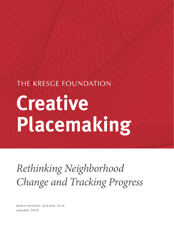# THE KRESGE FOUNDATION Creative **Placemaking**

*Rethinking Neighborhood Change and Tracking Progress*

maria rosario jackson, ph.d. january 2019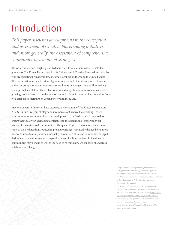## Introduction

*This paper discusses developments in the conception and assessment of Creative Placemaking initiatives and, more generally, the assessment of comprehensive community-development strategies.*

The observations and insights presented here draw from an examination of selected grantees of The Kresge Foundation Arts & Culture team's Creative Placemaking initiative who are operating primarily in low-income neighborhoods around the United States.<sup>1</sup> This examination included review of grantee reports and other documents, interviews and focus group discussions in the first several years of Kresge's Creative Placemaking strategy implementation. These observations and insights also stem from a small, but growing, body of research on the roles of arts and culture in communities, as well as from well-established literature on urban poverty and inequality.

Previous papers in this series have discussed the evolution of The Kresge Foundation's Arts & Culture Program strategy and its embrace of Creative Placemaking<sup>2</sup>, as well as introduced observations about the development of the field and work required to ensure that Creative Placemaking contributes to the expansion of opportunity for historically marginalized communities.<sup>3</sup> This paper begins to delve more deeply into some of the field needs introduced in previous writings, specifically the need for a more nuanced understanding of urban inequality; how arts, culture and community-engaged design intersect with strategies to expand opportunity; how residents in low-income communities may benefit; as well as the need to re-think how we conceive of and track neighborhood change.

> 1  *Kresge's grantees working at the neighborhood level serve populations with disproportinatley high rates of unemployment, incidence of poverty and related conditions, per an internal Foundation analysis conducted by Sam Coons and Seth Beattie using American Community Survey data.*

- 2  *The origins and evolution of The Kresge Foundation's Creative Placemaking strategy is documented in Kresge Arts & Culture Program: The First Decade https://kresge. org/library/kresge-arts-culture-program-first-decade.*
- 3  *A discussion of developments and requirements in the Creative Placemaking field appears in https://kresge.org/sites/default/files/library/cp\_white\_ paper\_2\_for\_posting.pdf*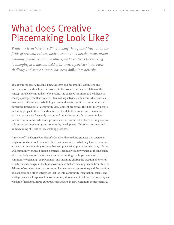### What does Creative Placemaking Look Like?

*While the term "Creative Placemaking" has gained traction in the fields of arts and culture, design, community development, urban planning, public health and others, and Creative Placemaking is emerging as a nascent field of its own, a persistent and basic challenge is that the practice has been difficult to describe.*

This is true for several reasons. First, the term still has multiple definitions and interpretations, and each sector involved in the work requires a translation of the concept suitable for its audience(s). Second, the concept continues to be difficult to convey quickly, given that Creative Placemaking activity is often contextual and can manifest in different ways—building on cultural assets specific to communities and in various dimensions of community-development processes. Third, for many people, including people in the arts-and-culture sector, definitions of art and the roles of artists in society are frequently narrow and not inclusive of cultural assets in lowincome communities, arts-based processes or the diverse roles of artists, designers and culture-bearers in planning and community development. This often precludes full understanding of Creative Placemaking practices.

A review of The Kresge Foundation's Creative Placemaking grantees that operate in neighborhoods showed these activities took many forms. What they have in common is the focus on attempting to strengthen comprehensive approaches with arts, culture and community-engaged design elements. This involves activity such as the inclusion of artists, designers and culture-bearers in the crafting and implementation of community organizing, empowerment and visioning efforts; the creation of physical structures and changes in the built environment that are meaningful and beautiful; the delivery of social services that are culturally relevant and appropriate; and the creation of businesses and other enterprises that tap into community imagination, talents and heritage. As a result, approaches to community development build on the creativity and wisdom of residents, lift up cultural assets and are, in fact, even more comprehensive.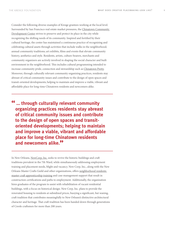Consider the following diverse examples of Kresge grantees working at the local level. Surrounded by San Francisco real estate market pressures, the Chinatown Community Development Center strives to preserve and protect its place in the city while recognizing the shifting needs of its community. Inspired and fortified by their cultural heritage, the center has maintained a continuous practice of recognizing and celebrating cultural assets through activities that include walks in the neighborhood; annual community traditions; art exhibits, films and events that elevate community history, aesthetics and style. Residents, artists, culture-bearers, merchants and community organizers are actively involved in shaping the social character and built environment in the neighborhood. This includes cultural programming intended to increase community pride, connection and stewardship such as Chinatown Pretty. Moreover, through culturally relevant community organizing practices, residents stay abreast of critical community issues and contribute to the design of open spaces and transit-oriented developments; helping to maintain and improve a viable, vibrant and affordable place for long-time Chinatown residents and newcomers alike.

**" ... through culturally relevant community organizing practices residents stay abreast of critical community issues and contribute to the design of open spaces and transitoriented developments; helping to maintain and improve a viable, vibrant and affordable place for long-time Chinatown residents and newcomers alike."**

In New Orleans, NewCorp, Inc. seeks to revive the historic buildings and craft traditions prevalent in the 7th Ward, while simultaneously addressing employment training and placement needs, blight and vacancy. New Corp, Inc., along with the New Orleans Master Crafts Guild and other organizations, offers neighborhood residents master-craft apprenticeship training and case management support that result in construction certifications and paths to employment. Additionally, the organization hires graduates of the program to assist with rehabilitation of vacant residential buildings, with a focus on historical design. New Corp, Inc. plans to provide the renovated housing to residents at subsidized prices, buoying a significant, but waning, craft tradition that contributes meaningfully to New Orleans's distinctive architectural character and heritage. That craft tradition has been handed down through generations of Creole craftsmen for more than 200 years.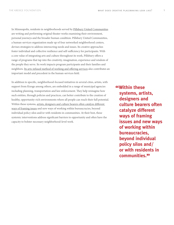In Minneapolis, residents in neighborhoods served by Pillsbury United Communities are writing and performing original theater works examining their environment, personal journeys and the broader human condition. Pillsbury United Communities, a human-services organization made up of four networked neighborhood centers, devises strategies to address intersecting needs and issues. Its creative approaches foster individual and collective resilience and self-sufficiency for participants. With a core value of integrating arts and culture throughout its work, Pillsbury offers a range of programs that tap into the creativity, imagination, experience and wisdom of the people they serve. Its work impacts program participants and their families and neighbors. Its arts-infused method of working and offering services also contributes an important model and precedent in the human-services field.

In addition to specific, neighborhood-focused initiatives in several cities, artists, with support from Kresge among others, are embedded in a range of municipal agencies including planning, transportation and law enforcement. They help reimagine how such entities, through policies and practices, can better contribute to the creation of healthy, opportunity-rich environments where all people can reach their full potential. Within these systems, artists, designers and culture bearers often catalyze different ways of framing issues and new ways of working within bureaucracies, beyond individual policy silos and/or with residents in communities. At their best, these systemic interventions address significant barriers to opportunity and often have the capacity to bolster necessary neighborhood-level work.

**"Within these systems, artists, designers and culture bearers often catalyze different ways of framing issues and new ways of working within bureaucracies, beyond individual policy silos and/ or with residents in communities."**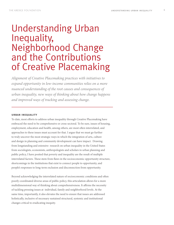### Understanding Urban Inequality, Neighborhood Change and the Contributions of Creative Placemaking

*Alignment of Creative Placemaking practices with initiatives to expand opportunity in low-income communities relies on a more nuanced understanding of the root causes and consequences of urban inequality, new ways of thinking about how change happens and improved ways of tracking and assessing change.* 

#### **urban inequality**

To date, most efforts to address urban inequality through Creative Placemaking have embraced the need to be comprehensive or cross-sectoral. To be sure, issues of housing, employment, education and health, among others, are most often interrelated, and approaches to these issues must account for that. I argue that we must go further to truly uncover the most strategic ways in which the integration of arts, culture and design in planning and community development can have impact. Drawing from longstanding and extensive research on urban inequality in the United States from sociologists, economists, anthropologists and scholars in urban planning and public policy, I have posited that poverty and inequality are the result of multiple interrelated factors. These stem from flaws in the socioeconomic opportunity structure, shortcomings in the institutions that exist to connect people to opportunity, and people's responses to long-term exclusion and disconnection from opportunity.

Beyond acknowledging the interrelated nature of socioeconomic conditions and often poorly coordinated diverse areas of public policy, this articulation allows for a more multidimensional way of thinking about comprehensiveness. It affirms the necessity of tackling pressing issues at individual, family and neighborhood levels. At the same time, importantly, it also elevates the need to ensure that issues are addressed holistically, inclusive of necessary sustained structural, systemic and institutional changes critical to eradicating inequity.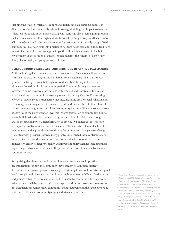Mapping the ways in which arts, culture and design can have plausible impacts at different points of intervention is helpful in strategy-building and impact assessment. What role can artists or designers working with residents play in reimagining systems that are exclusionary? How might culture-bearers help design programs that are more effective, relevant and culturally appropriate for residents in historically marginalized communities? How can residents' practice of heritage-based arts-and-culture traditions as part of a comprehensive strategy be impactful? How might changes in the built environment or the creation of businesses that celebrate the cultures of historically denigrated or maligned groups make a difference?

#### **neighborhood change and contributions of crative placemaking**

As the field struggles to evaluate the impacts of Creative Placemaking, it has become clear that the pace of change is often different from customary one-to-three year grant cycles. Kresge knows that neighborhood investments may not yield the ultimately desired results during a grant period. Those results may not manifest for years to come. However, interactions with grantees and research on the role of arts and culture in communities<sup>4</sup> strongly suggest that many Creative Placemaking efforts can lead to some nearer-term outcomes, including greater social cohesion and sense of agency among residents, increased pride and stewardship of place, physical transformation and greater control over community narrative. This is particularly true of activities at the neighborhood level that involve celebration of community cultural assets, individual and collective artmaking, examination of social issues through artistic media, and physical transformation of previously blighted areas. These are all important contributions in and of themselves. They are also often understood by practitioners on the ground as preconditions for other types of longer-term change. Consistent with previous research, many grantees interpreted these contributions as important steps toward outcomes such as more-equitable economic development, homegrown creative entrepreneurship and important policy changes including those supporting creativity, innovation and the preservation, protection and advancement of community assets.

Recognizing that these preconditions for longer-term change are imperative has implications for how the community-development field initiates strategy development and gauges progress. We are just beginning to realize how this conceptual breakthrough might be embraced and how it might manifest in different field practices and policies. Changes in evaluation orthodoxies used by community developers and urban planners will be required. Current ways of working and assessing progress do not adequately account for how community change happens and the range of ways in which art, culture and community-engaged design can have impact.

4  *Jackson, Maria Rosario, Joaquin Herranz and Florence Kabwasa-Green. 2002. Culture Counts in Communities: A Framework for Measurement. The Urban Institute. Washington, D.C.; Wali, Alaka, Rebecca Severson and Marion Longoni. 2002. Informal Arts: Finding Cohesion, Capacity and Other Cultural Benefits in Unexpected Places. Chicago Center for Arts Policy, Columbia College. Chicago. Walker, Chris, Anne Gadwa Nicodemus and Rachel Engh. 2017. More Than Storefronts: Insights into Creative Placemaking and Community Economic Development. Local Initiatives Support Corporation. New York.*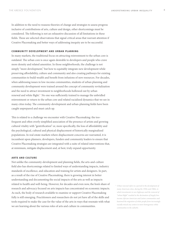In addition to the need to reassess theories of change and strategies to assess progress inclusive of contributions of arts, culture and design, other shortcomings must be considered. The following is not an exhaustive discussion of all limitations in these fields. These are selected observations that signal critical areas that warrant attention if Creative Placemaking and better ways of addressing inequity are to be successful.

#### **community development and urban planning**

In many markets, the traditional focus on attracting reinvestment to the urban core is outdated. The urban core is once again desirable to developers and people who crave more density and related amenities. In those neighborhoods, the challenge is not simply "more development," but how to equitably integrate new development while preserving affordability, culture and community and also creating pathways for existing communities to build wealth and benefit from infusions of new resources. For decades, when addressing issues in low-income communities, students of urban planning and community development were trained around the concept of community revitalization and the need to attract investment to neighborhoods hollowed out by urban renewal and white flight.<sup>5</sup> No one was sufficiently trained to manage the unbridled reinvestment or return to the urban core and related racialized dynamics that we see in many cities today. The community-development and urban-planning fields have been caught unprepared and must catch up.

This is related to a challenge we encounter with Creative Placemaking: the toofrequent and often overly simplified association of the presence of artists and growing cultural vitality with "gentrification" or, more specifically, the loss of affordability and the psychological, cultural and physical displacement of historically marginalized populations. In real estate markets where displacement concerns are warranted, it is incumbent upon planners, developers, funders and community leaders to ensure that Creative Placemaking strategies are integrated with a suite of related interventions that, at minimum, mitigate displacement and, at best, truly expand opportunity.

#### **arts and culture**

Not unlike the community-development and planning fields, the arts-and-culture field also has shortcomings related to limited ways of understanding impacts, industry standards of excellence, and education and training for artists and designers. In part, as a result of the rise of Creative Placemaking, there is growing interest in better understanding and documenting the social impacts of the arts as well as impacts related to health and well-being. However, for decades and even now, the lion's share of research and advocacy focused on arts impacts has concentrated on economic impacts. As such, the body of research available to examine or support Creative Placemaking fully is still emerging. Practitioners and researchers do not yet have all of the skills and tools required to make the case for the value of the arts in ways that resonate with what we are learning about the various roles of arts and culture in communities.

<sup>5</sup> Urban renewal refers to a period in the development of *many American cities, during the 1950s and 1960s, in which investments in new highways and the removal of "urban blight" resulted in the decimation of largely lowincome African American and Latino communities and hastened the migration of white people from increasingly racially mixed city centers to more homogenous white communities in the suburbs.*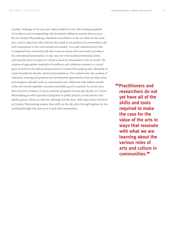THE KRESGE FOUNDATION

Another challenge in the arts-and-culture field has to do with existing standards of excellence and corresponding well-developed validation systems that are poor fits for Creative Placemaking. Standards of excellence in the arts field, for the most part, tend to align best with artforms that result in art products for presentation, sale and consumption in the conventional arts market. Arts-and-cultural activity that is integrated into community life and is process-heavy does not result in products for conventional presentation or sale, may not even include professional artists, and typically does not aspire to critical acclaim by tastemakers in the art world. The creation of appropriate standards of excellence and validation systems is a crucial piece of work for the ethical advancement of Creative Placemaking and, ultimately, to ensure benefits for already-obstructed populations. On a related note, the creation of education, training and professional-development opportunities that can help artists and designers ethically work in communities and collaborate with entities outside of the arts toward equitable outcomes and public good is essential. In recent years, there has been evidence of more academic programs focused specifically on Creative Placemaking as well as growth of programs in public practice, social practice and similar genres, which are relevant, although not the same. Still, many artists involved in Creative Placemaking acquire their skills on the job, often through baptism-by-fire, working through trial-and-error in and with communities.

**"Practitioners and researchers do not yet have all of the skills and tools required to make the case for the value of the arts in ways that resonate with what we are learning about the various roles of arts and culture in communities."**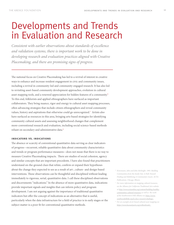### Developments and Trends in Evaluation and Research

*Consistent with earlier observations about standards of excellence and validation systems, there is important work to be done in developing research and evaluation practices aligned with Creative Placemaking, and there are promising signs of progress.* 

The national focus on Creative Placemaking has led to a revival of interest in creative ways to enhance and increase resident engagement in civic and community issues, including a revival in community-led and community-engaged research. It has also led to revisiting asset-based community development approaches, evolution in cultural asset mapping tools, and a renewed appreciation for hidden features of a community.<sup>6</sup> To this end, folklorists and applied ethnographers have surfaced as important collaborators. They bring nuance, rigor and energy to cultural asset mapping processes, often advancing strategies that include citizen ethnographers and reveal community values, history and aspirations that otherwise could go unrecognized.7 Artists also have surfaced as resources in this area, bringing arts-based strategies for identifying community cultural assets and assessing neighborhood changes that complement more-conventional research and evaluation, including social science-based methods reliant on secondary and administrative data.<sup>8</sup>

#### **indicators vs. indications**

The absence or scarcity of conventional quantitative data serving as clear indicators of progress—recurrent, reliable quantitative data about community characteristics and trends or program performance measures—does not mean that there is no way to measure Creative Placemaking impacts. There are studies of social cohesion, agency and similar concepts that are important precedents. I have also found that practitioners understand on-the-ground clues that refute, confirm or expand their hypotheses about the change they expected to see as a result of art-, culture- and design-based interventions. These observations can be thoughtful and disciplined without leading immediately to rigorous, serial, quantitative data. I call these disciplined observations and discernments "indications." In the absence of more quantitative data, indications provide important signals and insights that can inform policy and program development. I am not arguing against the importance of traditional quantitative indicators but offer the concept of indications as an alternative that is useful, particularly when the data infrastructure for a field of practice is in early stages or the subject matter is a poor fit for conventional quantitative methods.

- 6  *Kretzmann, John and John McKnight. 1993. Building Communities from the Inside Out: A Path Toward Finding and Mobilizing A Community's Assets. ACTA Publications. Chicago, Illinois.*
- *For more information on mapping cultural treasures, see the Alliance for California Traditional Arts website at http://www.actaonline.org/content/building-healthycommunities-cultural-treasures as well as the work of the Southwestern Folk Alliance at, https://www. southwestfolklife.org/la-doce-research-findings/.*
- 8  *For an example of art-based cultural asset mapping see https://www.lacountyarts.org/willowbrook/.*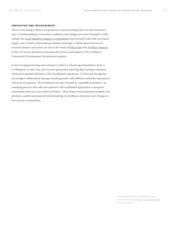#### **innovation and measurement**

There is increasing evidence of openness to experimenting with new and innovative ways of understanding community conditions and change processes. Examples of this include the Local Initiatives Support Corporation's experimental work with arts-based inquiry into Creative Placemaking initiatives through a collaboration between its research division and artists, as well as the work of PolicyLink with ArtPlace America as they set out to document and assess the process and impacts of the ArtPlace's Community Development Investments program.

In the emerging learning and evaluation culture at The Kresge Foundation, there is a willingness to take risks and try new approaches, knowing that existing evaluation methods frequently fall short of the foundation's aspirations. To this end, Kresge has encouraged collaboration among consulting teams with different methods, experiences and areas of expertise. The foundation has also invested in "equitable evaluation," an emerging practice that calls into question well-established approaches to program assessments that may carry inherent biases.<sup>9</sup> These biases may perpetuate inequity and preclude a useful and nuanced understanding of conditions, dynamics and changes in low-income communities.

> 9  *For more information, see the Equitable Evaluation Initiative (EEI) website at https://www.equitableeval.org for more information.*